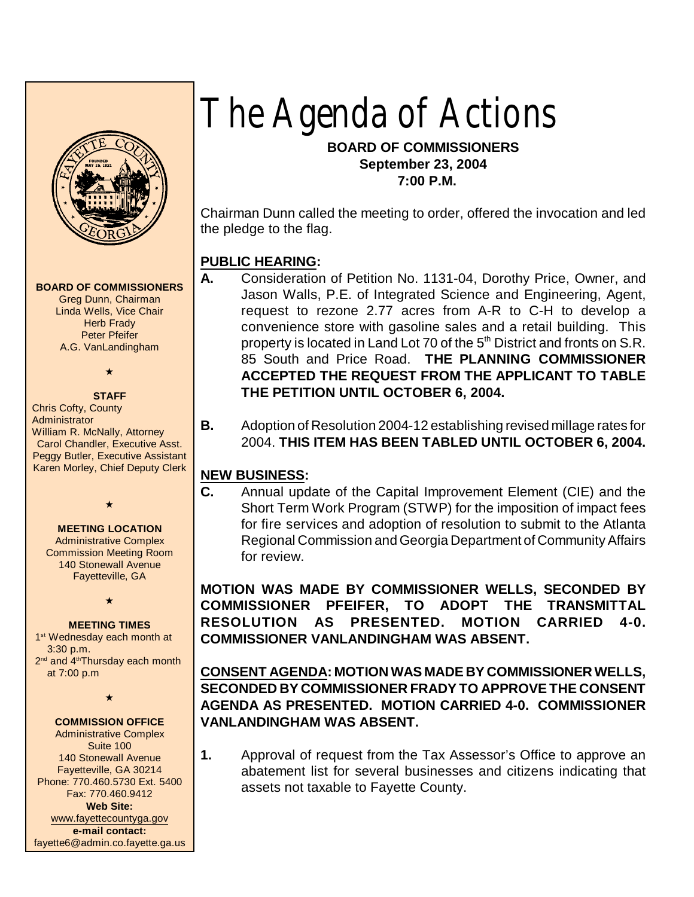

#### **BOARD OF COMMISSIONERS**

Greg Dunn, Chairman Linda Wells, Vice Chair **Herb Frady** Peter Pfeifer A.G. VanLandingham

 $\star$ 

## **STAFF**

Chris Cofty, County **Administrator** William R. McNally, Attorney Carol Chandler, Executive Asst. Peggy Butler, Executive Assistant Karen Morley, Chief Deputy Clerk

#### **MEETING LOCATION**

 $\star$ 

Administrative Complex Commission Meeting Room 140 Stonewall Avenue Fayetteville, GA

 $\star$ 

#### **MEETING TIMES**

1<sup>st</sup> Wednesday each month at 3:30 p.m. 2<sup>nd</sup> and 4<sup>th</sup>Thursday each month at 7:00 p.m

 $\star$ 

#### **COMMISSION OFFICE**

Administrative Complex Suite 100 140 Stonewall Avenue Fayetteville, GA 30214 Phone: 770.460.5730 Ext. 5400 Fax: 770.460.9412 **Web Site:** [www.fayettecountyga.gov](http://www.admin.co.fayette.ga.us) **e-mail contact:** fayette6@admin.co.fayette.ga.us

# *The Agenda of Actions*

## **BOARD OF COMMISSIONERS September 23, 2004 7:00 P.M.**

Chairman Dunn called the meeting to order, offered the invocation and led the pledge to the flag.

## **PUBLIC HEARING:**

- **A.** Consideration of Petition No. 1131-04, Dorothy Price, Owner, and Jason Walls, P.E. of Integrated Science and Engineering, Agent, request to rezone 2.77 acres from A-R to C-H to develop a convenience store with gasoline sales and a retail building. This property is located in Land Lot 70 of the 5<sup>th</sup> District and fronts on S.R. 85 South and Price Road. **THE PLANNING COMMISSIONER ACCEPTED THE REQUEST FROM THE APPLICANT TO TABLE THE PETITION UNTIL OCTOBER 6, 2004.**
- **B.** Adoption of Resolution 2004-12 establishing revised millage rates for 2004. **THIS ITEM HAS BEEN TABLED UNTIL OCTOBER 6, 2004.**

## **NEW BUSINESS:**

**C.** Annual update of the Capital Improvement Element (CIE) and the Short Term Work Program (STWP) for the imposition of impact fees for fire services and adoption of resolution to submit to the Atlanta Regional Commission and Georgia Department of Community Affairs for review.

**MOTION WAS MADE BY COMMISSIONER WELLS, SECONDED BY COMMISSIONER PFEIFER, TO ADOPT THE TRANSMITTAL RESOLUTION AS PRESENTED. MOTION CARRIED 4-0. COMMISSIONER VANLANDINGHAM WAS ABSENT.**

**CONSENT AGENDA: MOTION WAS MADE BY COMMISSIONER WELLS, SECONDED BY COMMISSIONER FRADY TO APPROVE THE CONSENT AGENDA AS PRESENTED. MOTION CARRIED 4-0. COMMISSIONER VANLANDINGHAM WAS ABSENT.**

**1.** Approval of request from the Tax Assessor's Office to approve an abatement list for several businesses and citizens indicating that assets not taxable to Fayette County.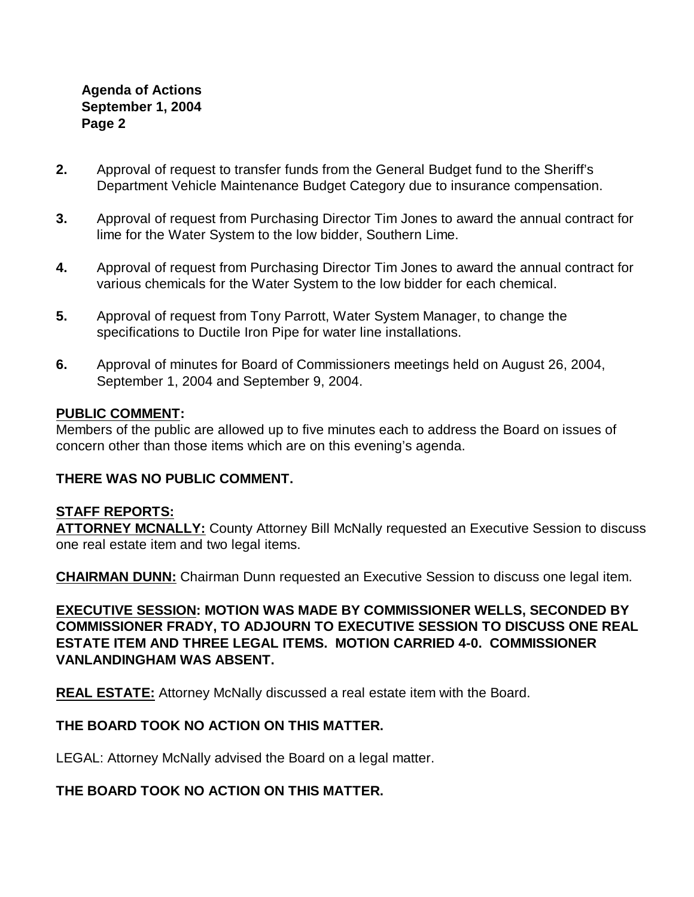## **Agenda of Actions September 1, 2004 Page 2**

- **2.** Approval of request to transfer funds from the General Budget fund to the Sheriff's Department Vehicle Maintenance Budget Category due to insurance compensation.
- **3.** Approval of request from Purchasing Director Tim Jones to award the annual contract for lime for the Water System to the low bidder, Southern Lime.
- **4.** Approval of request from Purchasing Director Tim Jones to award the annual contract for various chemicals for the Water System to the low bidder for each chemical.
- **5.** Approval of request from Tony Parrott, Water System Manager, to change the specifications to Ductile Iron Pipe for water line installations.
- **6.** Approval of minutes for Board of Commissioners meetings held on August 26, 2004, September 1, 2004 and September 9, 2004.

## **PUBLIC COMMENT:**

Members of the public are allowed up to five minutes each to address the Board on issues of concern other than those items which are on this evening's agenda.

## **THERE WAS NO PUBLIC COMMENT.**

## **STAFF REPORTS:**

**ATTORNEY MCNALLY:** County Attorney Bill McNally requested an Executive Session to discuss one real estate item and two legal items.

**CHAIRMAN DUNN:** Chairman Dunn requested an Executive Session to discuss one legal item.

**EXECUTIVE SESSION: MOTION WAS MADE BY COMMISSIONER WELLS, SECONDED BY COMMISSIONER FRADY, TO ADJOURN TO EXECUTIVE SESSION TO DISCUSS ONE REAL ESTATE ITEM AND THREE LEGAL ITEMS. MOTION CARRIED 4-0. COMMISSIONER VANLANDINGHAM WAS ABSENT.**

**REAL ESTATE:** Attorney McNally discussed a real estate item with the Board.

# **THE BOARD TOOK NO ACTION ON THIS MATTER.**

LEGAL: Attorney McNally advised the Board on a legal matter.

## **THE BOARD TOOK NO ACTION ON THIS MATTER.**